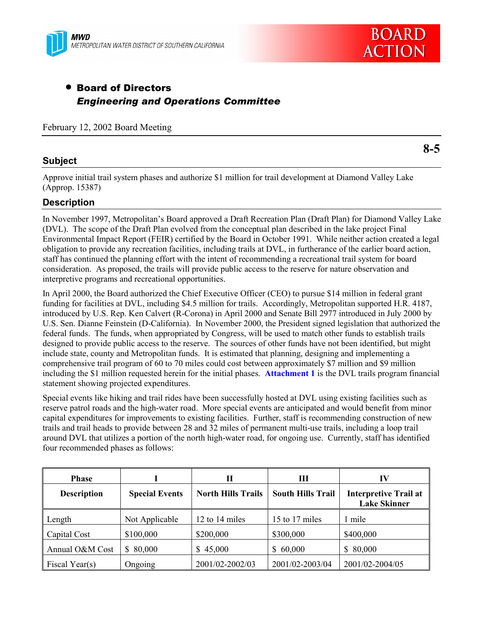



# • Board of Directors *Engineering and Operations Committee*

February 12, 2002 Board Meeting

## **Subject**

**8-5**

Approve initial trail system phases and authorize \$1 million for trail development at Diamond Valley Lake (Approp. 15387)

## **Description**

In November 1997, Metropolitanís Board approved a Draft Recreation Plan (Draft Plan) for Diamond Valley Lake (DVL). The scope of the Draft Plan evolved from the conceptual plan described in the lake project Final Environmental Impact Report (FEIR) certified by the Board in October 1991. While neither action created a legal obligation to provide any recreation facilities, including trails at DVL, in furtherance of the earlier board action, staff has continued the planning effort with the intent of recommending a recreational trail system for board consideration. As proposed, the trails will provide public access to the reserve for nature observation and interpretive programs and recreational opportunities.

In April 2000, the Board authorized the Chief Executive Officer (CEO) to pursue \$14 million in federal grant funding for facilities at DVL, including \$4.5 million for trails. Accordingly, Metropolitan supported H.R. 4187, introduced by U.S. Rep. Ken Calvert (R-Corona) in April 2000 and Senate Bill 2977 introduced in July 2000 by U.S. Sen. Dianne Feinstein (D-California). In November 2000, the President signed legislation that authorized the federal funds. The funds, when appropriated by Congress, will be used to match other funds to establish trails designed to provide public access to the reserve. The sources of other funds have not been identified, but might include state, county and Metropolitan funds. It is estimated that planning, designing and implementing a comprehensive trail program of 60 to 70 miles could cost between approximately \$7 million and \$9 million including the \$1 million requested herein for the initial phases. **Attachment 1** is the DVL trails program financial statement showing projected expenditures.

Special events like hiking and trail rides have been successfully hosted at DVL using existing facilities such as reserve patrol roads and the high-water road. More special events are anticipated and would benefit from minor capital expenditures for improvements to existing facilities. Further, staff is recommending construction of new trails and trail heads to provide between 28 and 32 miles of permanent multi-use trails, including a loop trail around DVL that utilizes a portion of the north high-water road, for ongoing use. Currently, staff has identified four recommended phases as follows:

| <b>Phase</b>       |                         | Н                         | Ш                        | IV                                                  |
|--------------------|-------------------------|---------------------------|--------------------------|-----------------------------------------------------|
| <b>Description</b> | <b>Special Events</b>   | <b>North Hills Trails</b> | <b>South Hills Trail</b> | <b>Interpretive Trail at</b><br><b>Lake Skinner</b> |
| Length             | Not Applicable          | 12 to 14 miles            | 15 to 17 miles           | l mile                                              |
| Capital Cost       | \$100,000               | \$200,000                 | \$300,000                | \$400,000                                           |
| Annual O&M Cost    | 80,000<br><sup>\$</sup> | \$45,000                  | \$60,000                 | \$80,000                                            |
| Fiscal Year(s)     | Ongoing                 | 2001/02-2002/03           | 2001/02-2003/04          | 2001/02-2004/05                                     |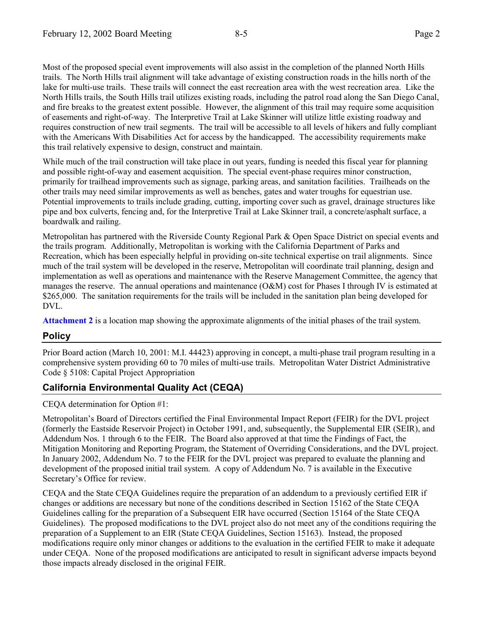Most of the proposed special event improvements will also assist in the completion of the planned North Hills trails. The North Hills trail alignment will take advantage of existing construction roads in the hills north of the lake for multi-use trails. These trails will connect the east recreation area with the west recreation area. Like the North Hills trails, the South Hills trail utilizes existing roads, including the patrol road along the San Diego Canal, and fire breaks to the greatest extent possible. However, the alignment of this trail may require some acquisition of easements and right-of-way. The Interpretive Trail at Lake Skinner will utilize little existing roadway and requires construction of new trail segments. The trail will be accessible to all levels of hikers and fully compliant with the Americans With Disabilities Act for access by the handicapped. The accessibility requirements make this trail relatively expensive to design, construct and maintain.

While much of the trail construction will take place in out years, funding is needed this fiscal year for planning and possible right-of-way and easement acquisition. The special event-phase requires minor construction, primarily for trailhead improvements such as signage, parking areas, and sanitation facilities. Trailheads on the other trails may need similar improvements as well as benches, gates and water troughs for equestrian use. Potential improvements to trails include grading, cutting, importing cover such as gravel, drainage structures like pipe and box culverts, fencing and, for the Interpretive Trail at Lake Skinner trail, a concrete/asphalt surface, a boardwalk and railing.

Metropolitan has partnered with the Riverside County Regional Park & Open Space District on special events and the trails program. Additionally, Metropolitan is working with the California Department of Parks and Recreation, which has been especially helpful in providing on-site technical expertise on trail alignments. Since much of the trail system will be developed in the reserve, Metropolitan will coordinate trail planning, design and implementation as well as operations and maintenance with the Reserve Management Committee, the agency that manages the reserve. The annual operations and maintenance (O&M) cost for Phases I through IV is estimated at \$265,000. The sanitation requirements for the trails will be included in the sanitation plan being developed for DVL.

**Attachment 2** is a location map showing the approximate alignments of the initial phases of the trail system.

## **Policy**

Prior Board action (March 10, 2001: M.I. 44423) approving in concept, a multi-phase trail program resulting in a comprehensive system providing 60 to 70 miles of multi-use trails. Metropolitan Water District Administrative Code ß 5108: Capital Project Appropriation

## **California Environmental Quality Act (CEQA)**

CEQA determination for Option #1:

Metropolitanís Board of Directors certified the Final Environmental Impact Report (FEIR) for the DVL project (formerly the Eastside Reservoir Project) in October 1991, and, subsequently, the Supplemental EIR (SEIR), and Addendum Nos. 1 through 6 to the FEIR. The Board also approved at that time the Findings of Fact, the Mitigation Monitoring and Reporting Program, the Statement of Overriding Considerations, and the DVL project. In January 2002, Addendum No. 7 to the FEIR for the DVL project was prepared to evaluate the planning and development of the proposed initial trail system. A copy of Addendum No. 7 is available in the Executive Secretary's Office for review.

CEQA and the State CEQA Guidelines require the preparation of an addendum to a previously certified EIR if changes or additions are necessary but none of the conditions described in Section 15162 of the State CEQA Guidelines calling for the preparation of a Subsequent EIR have occurred (Section 15164 of the State CEQA Guidelines). The proposed modifications to the DVL project also do not meet any of the conditions requiring the preparation of a Supplement to an EIR (State CEQA Guidelines, Section 15163). Instead, the proposed modifications require only minor changes or additions to the evaluation in the certified FEIR to make it adequate under CEQA. None of the proposed modifications are anticipated to result in significant adverse impacts beyond those impacts already disclosed in the original FEIR.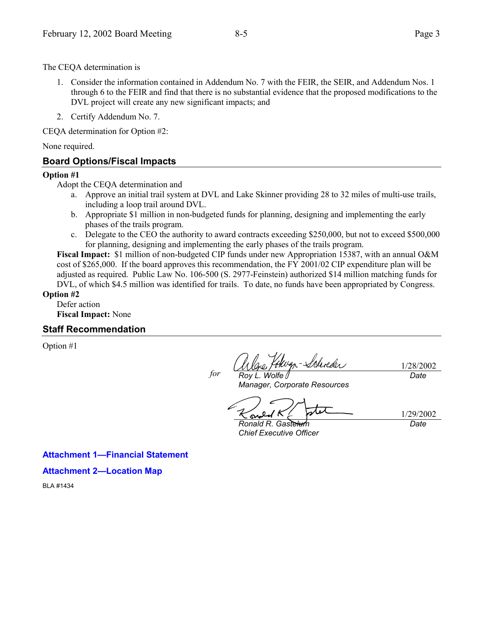The CEQA determination is

- 1. Consider the information contained in Addendum No. 7 with the FEIR, the SEIR, and Addendum Nos. 1 through 6 to the FEIR and find that there is no substantial evidence that the proposed modifications to the DVL project will create any new significant impacts; and
- 2. Certify Addendum No. 7.

CEQA determination for Option #2:

None required.

## **Board Options/Fiscal Impacts**

#### **Option #1**

Adopt the CEQA determination and

- a. Approve an initial trail system at DVL and Lake Skinner providing 28 to 32 miles of multi-use trails, including a loop trail around DVL.
- b. Appropriate \$1 million in non-budgeted funds for planning, designing and implementing the early phases of the trails program.
- c. Delegate to the CEO the authority to award contracts exceeding \$250,000, but not to exceed \$500,000 for planning, designing and implementing the early phases of the trails program.

**Fiscal Impact:** \$1 million of non-budgeted CIP funds under new Appropriation 15387, with an annual O&M cost of \$265,000. If the board approves this recommendation, the FY 2001/02 CIP expenditure plan will be adjusted as required. Public Law No. 106-500 (S. 2977-Feinstein) authorized \$14 million matching funds for DVL, of which \$4.5 million was identified for trails. To date, no funds have been appropriated by Congress.

*for*

### **Option #2**

Defer action **Fiscal Impact:** None

### **Staff Recommendation**

Option #1

-Schreder *Roy L. Wolfe*

1/28/2002 *Date*

*Manager, Corporate Resources*

1/29/2002

*Ronald R. Gastelum Chief Executive Officer* *Date*

**Attachment 1–Financial Statement** 

**Attachment 2-Location Map** 

BLA #1434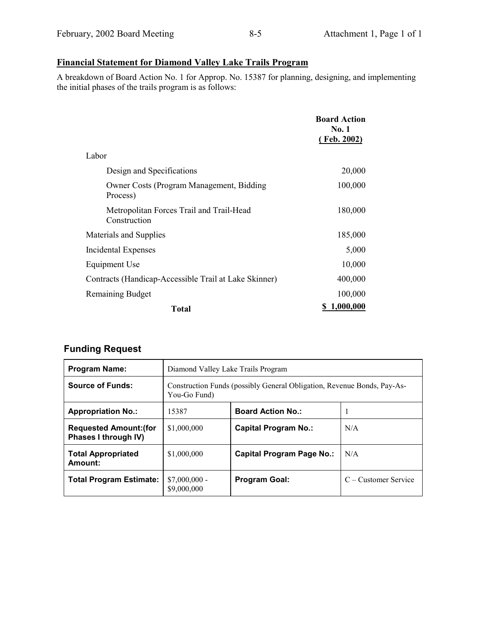# **Financial Statement for Diamond Valley Lake Trails Program**

A breakdown of Board Action No. 1 for Approp. No. 15387 for planning, designing, and implementing the initial phases of the trails program is as follows:

|                                                          | <b>Board Action</b><br><b>No. 1</b><br>(Feb. 2002) |
|----------------------------------------------------------|----------------------------------------------------|
| Labor                                                    |                                                    |
| Design and Specifications                                | 20,000                                             |
| Owner Costs (Program Management, Bidding<br>Process)     | 100,000                                            |
| Metropolitan Forces Trail and Trail-Head<br>Construction | 180,000                                            |
| Materials and Supplies                                   | 185,000                                            |
| Incidental Expenses                                      | 5,000                                              |
| Equipment Use                                            | 10,000                                             |
| Contracts (Handicap-Accessible Trail at Lake Skinner)    | 400,000                                            |
| <b>Remaining Budget</b>                                  | 100,000                                            |
| <b>Total</b>                                             | 1,000,000                                          |

# **Funding Request**

| <b>Program Name:</b>                                  | Diamond Valley Lake Trails Program                                                      |                             |                      |  |
|-------------------------------------------------------|-----------------------------------------------------------------------------------------|-----------------------------|----------------------|--|
| <b>Source of Funds:</b>                               | Construction Funds (possibly General Obligation, Revenue Bonds, Pay-As-<br>You-Go Fund) |                             |                      |  |
| <b>Appropriation No.:</b>                             | 15387                                                                                   | <b>Board Action No.:</b>    |                      |  |
| <b>Requested Amount: (for</b><br>Phases I through IV) | \$1,000,000                                                                             | <b>Capital Program No.:</b> | N/A                  |  |
| <b>Total Appropriated</b><br>Amount:                  | \$1,000,000                                                                             | Capital Program Page No.:   | N/A                  |  |
| <b>Total Program Estimate:</b>                        | $$7,000,000$ -<br>\$9,000,000                                                           | <b>Program Goal:</b>        | C – Customer Service |  |